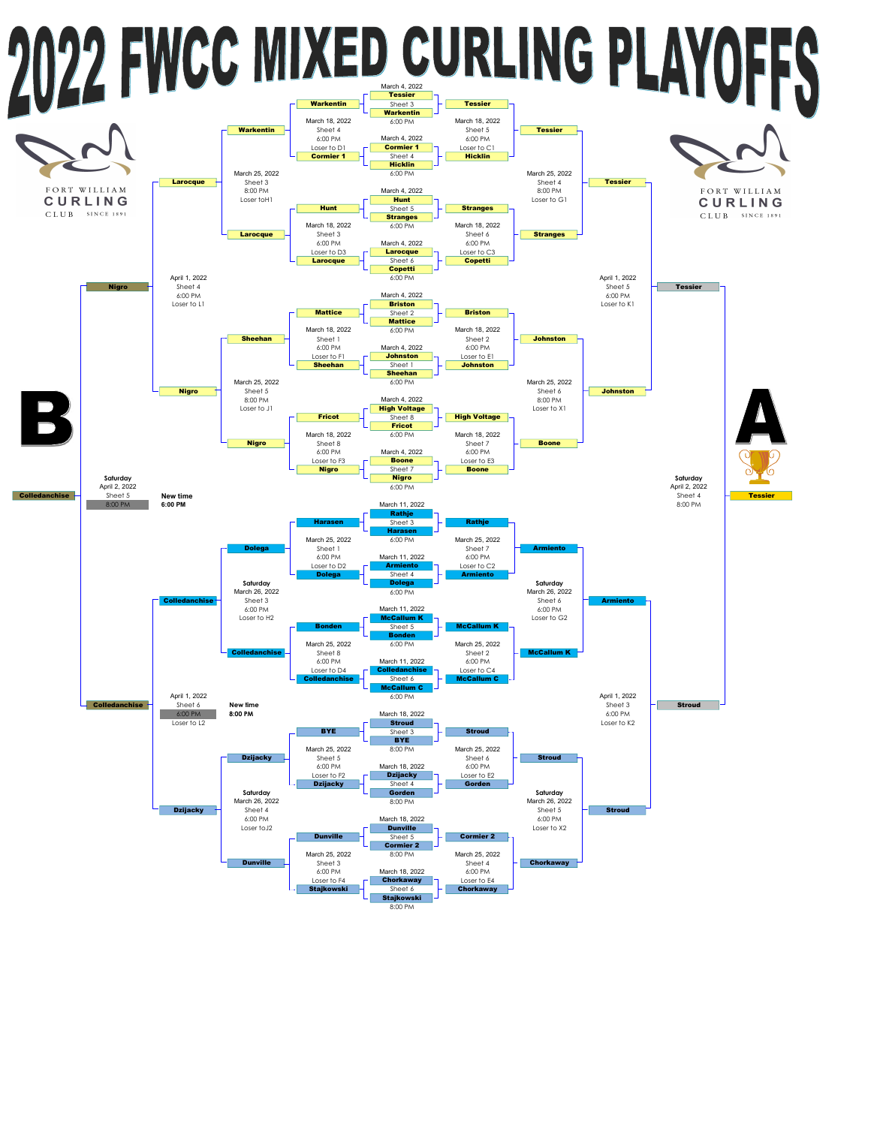